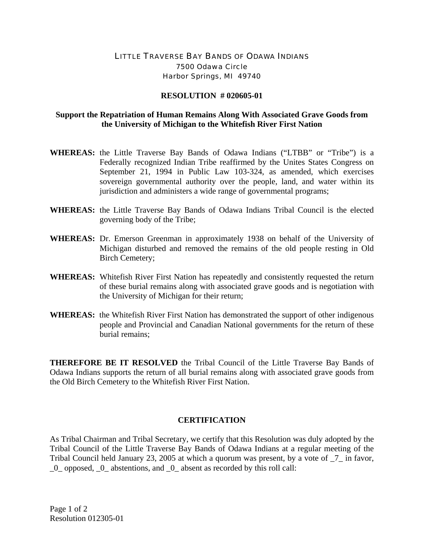## LITTLE TRAVERSE BAY BANDS OF ODAWA INDIANS 7500 Odawa Circle Harbor Springs, MI 49740

## **RESOLUTION # 020605-01**

## **Support the Repatriation of Human Remains Along With Associated Grave Goods from the University of Michigan to the Whitefish River First Nation**

- **WHEREAS:** the Little Traverse Bay Bands of Odawa Indians ("LTBB" or "Tribe") is a Federally recognized Indian Tribe reaffirmed by the Unites States Congress on September 21, 1994 in Public Law 103-324, as amended, which exercises sovereign governmental authority over the people, land, and water within its jurisdiction and administers a wide range of governmental programs;
- **WHEREAS:** the Little Traverse Bay Bands of Odawa Indians Tribal Council is the elected governing body of the Tribe;
- **WHEREAS:** Dr. Emerson Greenman in approximately 1938 on behalf of the University of Michigan disturbed and removed the remains of the old people resting in Old Birch Cemetery;
- **WHEREAS:** Whitefish River First Nation has repeatedly and consistently requested the return of these burial remains along with associated grave goods and is negotiation with the University of Michigan for their return;
- **WHEREAS:** the Whitefish River First Nation has demonstrated the support of other indigenous people and Provincial and Canadian National governments for the return of these burial remains;

**THEREFORE BE IT RESOLVED** the Tribal Council of the Little Traverse Bay Bands of Odawa Indians supports the return of all burial remains along with associated grave goods from the Old Birch Cemetery to the Whitefish River First Nation.

## **CERTIFICATION**

As Tribal Chairman and Tribal Secretary, we certify that this Resolution was duly adopted by the Tribal Council of the Little Traverse Bay Bands of Odawa Indians at a regular meeting of the Tribal Council held January 23, 2005 at which a quorum was present, by a vote of \_7\_ in favor, \_0\_ opposed, \_0\_ abstentions, and \_0\_ absent as recorded by this roll call: